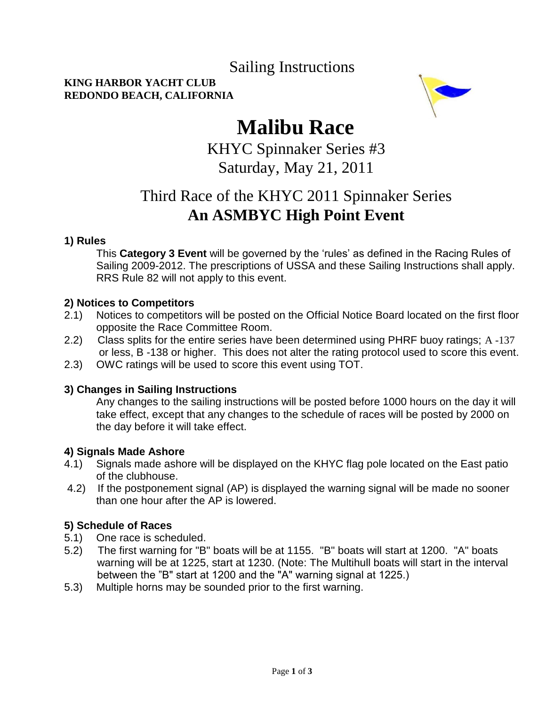### Sailing Instructions

#### **KING HARBOR YACHT CLUB REDONDO BEACH, CALIFORNIA**



# **Malibu Race**

 KHYC Spinnaker Series #3 Saturday, May 21, 2011

### Third Race of the KHYC 2011 Spinnaker Series  **An ASMBYC High Point Event**

#### **1) Rules**

This **Category 3 Event** will be governed by the "rules" as defined in the Racing Rules of Sailing 2009-2012. The prescriptions of USSA and these Sailing Instructions shall apply. RRS Rule 82 will not apply to this event.

#### **2) Notices to Competitors**

- 2.1) Notices to competitors will be posted on the Official Notice Board located on the first floor opposite the Race Committee Room.
- 2.2) Class splits for the entire series have been determined using PHRF buoy ratings; A -137 or less, B -138 or higher. This does not alter the rating protocol used to score this event.
- 2.3) OWC ratings will be used to score this event using TOT.

#### **3) Changes in Sailing Instructions**

Any changes to the sailing instructions will be posted before 1000 hours on the day it will take effect, except that any changes to the schedule of races will be posted by 2000 on the day before it will take effect.

#### **4) Signals Made Ashore**

- 4.1) Signals made ashore will be displayed on the KHYC flag pole located on the East patio of the clubhouse.
- 4.2) If the postponement signal (AP) is displayed the warning signal will be made no sooner than one hour after the AP is lowered.

#### **5) Schedule of Races**

- 5.1) One race is scheduled.
- 5.2) The first warning for "B" boats will be at 1155. "B" boats will start at 1200. "A" boats warning will be at 1225, start at 1230. (Note: The Multihull boats will start in the interval between the "B" start at 1200 and the "A" warning signal at 1225.)
- 5.3) Multiple horns may be sounded prior to the first warning.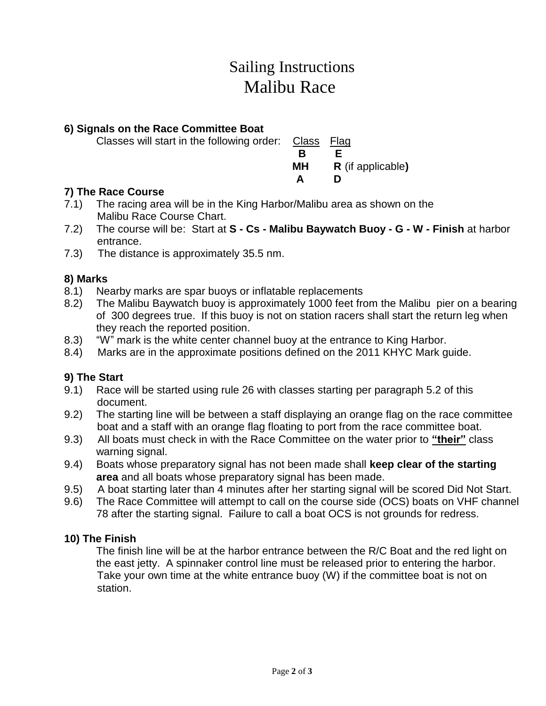## Sailing Instructions Malibu Race

#### **6) Signals on the Race Committee Boat**

Classes will start in the following order: Class Flag

**B B E MH R** (if applicable**) A D**

#### **7) The Race Course**

- 7.1) The racing area will be in the King Harbor/Malibu area as shown on the Malibu Race Course Chart.
- 7.2) The course will be: Start at **S - Cs - Malibu Baywatch Buoy - G - W - Finish** at harbor entrance.
- 7.3) The distance is approximately 35.5 nm.

#### **8) Marks**

- 8.1) Nearby marks are spar buoys or inflatable replacements
- 8.2) The Malibu Baywatch buoy is approximately 1000 feet from the Malibu pier on a bearing of 300 degrees true. If this buoy is not on station racers shall start the return leg when they reach the reported position.
- 8.3) "W" mark is the white center channel buoy at the entrance to King Harbor.
- 8.4) Marks are in the approximate positions defined on the 2011 KHYC Mark guide.

#### **9) The Start**

- 9.1) Race will be started using rule 26 with classes starting per paragraph 5.2 of this document.
- 9.2) The starting line will be between a staff displaying an orange flag on the race committee boat and a staff with an orange flag floating to port from the race committee boat.
- 9.3) All boats must check in with the Race Committee on the water prior to **"their"** class warning signal.
- 9.4) Boats whose preparatory signal has not been made shall **keep clear of the starting area** and all boats whose preparatory signal has been made.
- 9.5) A boat starting later than 4 minutes after her starting signal will be scored Did Not Start.
- 9.6) The Race Committee will attempt to call on the course side (OCS) boats on VHF channel 78 after the starting signal. Failure to call a boat OCS is not grounds for redress.

#### **10) The Finish**

The finish line will be at the harbor entrance between the R/C Boat and the red light on the east jetty. A spinnaker control line must be released prior to entering the harbor. Take your own time at the white entrance buoy (W) if the committee boat is not on station.